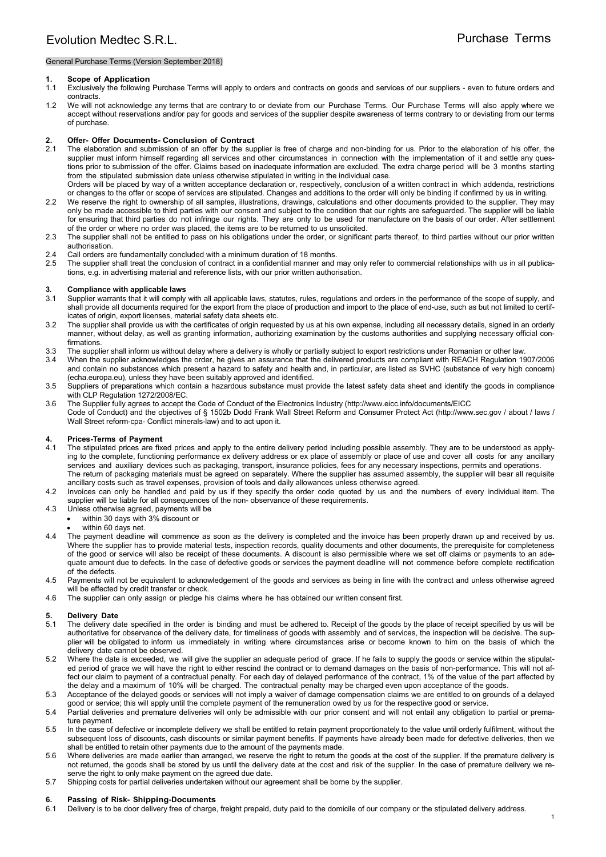### General Purchase Terms (Version September 2018)

### **1. Scope of Application**

- 1.1 Exclusively the following Purchase Terms will apply to orders and contracts on goods and services of our suppliers even to future orders and contracts.
- 1.2 We will not acknowledge any terms that are contrary to or deviate from our Purchase Terms. Our Purchase Terms will also apply where we accept without reservations and/or pay for goods and services of the supplier despite awareness of terms contrary to or deviating from our terms of purchase.

# **2. Offer- Offer Documents- Conclusion of Contract** 2.1 The elaboration and submission of an offer by the sure

The elaboration and submission of an offer by the supplier is free of charge and non-binding for us. Prior to the elaboration of his offer, the supplier must inform himself regarding all services and other circumstances in connection with the implementation of it and settle any questions prior to submission of the offer. Claims based on inadequate information are excluded. The extra charge period will be 3 months starting from the stipulated submission date unless otherwise stipulated in writing in the individual case. Orders will be placed by way of a written acceptance declaration or, respectively, conclusion of a written contract in which addenda, restrictions

or changes to the offer or scope of services are stipulated. Changes and additions to the order will only be binding if confirmed by us in writing. 2.2 We reserve the right to ownership of all samples, illustrations, drawings, calculations and other documents provided to the supplier. They may

- only be made accessible to third parties with our consent and subject to the condition that our rights are safeguarded. The supplier will be liable for ensuring that third parties do not infringe our rights. They are only to be used for manufacture on the basis of our order. After settlement of the order or where no order was placed, the items are to be returned to us unsolicited.
- 2.3 The supplier shall not be entitled to pass on his obligations under the order, or significant parts thereof, to third parties without our prior written authorisation.
- 2.4 Call orders are fundamentally concluded with a minimum duration of 18 months.
- 2.5 The supplier shall treat the conclusion of contract in a confidential manner and may only refer to commercial relationships with us in all publications, e.g. in advertising material and reference lists, with our prior written authorisation.

#### **3. Compliance with applicable laws**

- 3.1 Supplier warrants that it will comply with all applicable laws, statutes, rules, regulations and orders in the performance of the scope of supply, and shall provide all documents required for the export from the place of production and import to the place of end-use, such as but not limited to certificates of origin, export licenses, material safety data sheets etc.
- 3.2 The supplier shall provide us with the certificates of origin requested by us at his own expense, including all necessary details, signed in an orderly manner, without delay, as well as granting information, authorizing examination by the customs authorities and supplying necessary official confirmations.
- 3.3 The supplier shall inform us without delay where a delivery is wholly or partially subject to export restrictions under Romanian or other law.
- 3.4 When the supplier acknowledges the order, he gives an assurance that the delivered products are compliant with REACH Regulation 1907/2006 and contain no substances which present a hazard to safety and health and, in particular, are listed as SVHC (substance of very high concern) (echa.europa.eu), unless they have been suitably approved and identified.
- 3.5 Suppliers of preparations which contain a hazardous substance must provide the latest safety data sheet and identify the goods in compliance with CLP Regulation 1272/2008/EC.
- 3.6 The Supplier fully agrees to accept the Code of Conduct of the Electronics Industry (http://www.eicc.info/documents/EICC Code of Conduct) and the objectives of § 1502b Dodd Frank Wall Street Reform and Consumer Protect Act (http://www.sec.gov / about / laws / Wall Street reform-cpa- Conflict minerals-law) and to act upon it.

### **4. Prices-Terms of Payment**

- 4.1 The stipulated prices are fixed prices and apply to the entire delivery period including possible assembly. They are to be understood as applying to the complete, functioning performance ex delivery address or ex place of assembly or place of use and cover all costs for any ancillary services and auxiliary devices such as packaging, transport, insurance policies, fees for any necessary inspections, permits and operations. The return of packaging materials must be agreed on separately. Where the supplier has assumed assembly, the supplier will bear all requisite ancillary costs such as travel expenses, provision of tools and daily allowances unless otherwise agreed.
- 4.2 Invoices can only be handled and paid by us if they specify the order code quoted by us and the numbers of every individual item. The supplier will be liable for all consequences of the non- observance of these requirements.
- 4.3 Unless otherwise agreed, payments will be
	- within 30 days with 3% discount or
		- within 60 days net.
- 4.4 The payment deadline will commence as soon as the delivery is completed and the invoice has been properly drawn up and received by us. Where the supplier has to provide material tests, inspection records, quality documents and other documents, the prerequisite for completeness of the good or service will also be receipt of these documents. A discount is also permissible where we set off claims or payments to an adequate amount due to defects. In the case of defective goods or services the payment deadline will not commence before complete rectification of the defects.
- 4.5 Payments will not be equivalent to acknowledgement of the goods and services as being in line with the contract and unless otherwise agreed will be effected by credit transfer or check.
- 4.6 The supplier can only assign or pledge his claims where he has obtained our written consent first.

### **5. Delivery Date**

- 5.1 The delivery date specified in the order is binding and must be adhered to. Receipt of the goods by the place of receipt specified by us will be authoritative for observance of the delivery date, for timeliness of goods with assembly and of services, the inspection will be decisive. The supplier will be obligated to inform us immediately in writing where circumstances arise or become known to him on the basis of which the delivery date cannot be observed.
- 5.2 Where the date is exceeded, we will give the supplier an adequate period of grace. If he fails to supply the goods or service within the stipulated period of grace we will have the right to either rescind the contract or to demand damages on the basis of non-performance. This will not affect our claim to payment of a contractual penalty. For each day of delayed performance of the contract, 1% of the value of the part affected by the delay and a maximum of 10% will be charged. The contractual penalty may be charged even upon acceptance of the goods.
- 5.3 Acceptance of the delayed goods or services will not imply a waiver of damage compensation claims we are entitled to on grounds of a delayed good or service; this will apply until the complete payment of the remuneration owed by us for the respective good or service.
- 5.4 Partial deliveries and premature deliveries will only be admissible with our prior consent and will not entail any obligation to partial or premature payment.
- 5.5 In the case of defective or incomplete delivery we shall be entitled to retain payment proportionately to the value until orderly fulfilment, without the subsequent loss of discounts, cash discounts or similar payment benefits. If payments have already been made for defective deliveries, then we shall be entitled to retain other payments due to the amount of the payments made.
- 5.6 Where deliveries are made earlier than arranged, we reserve the right to return the goods at the cost of the supplier. If the premature delivery is not returned, the goods shall be stored by us until the delivery date at the cost and risk of the supplier. In the case of premature delivery we reserve the right to only make payment on the agreed due date.
- 5.7 Shipping costs for partial deliveries undertaken without our agreement shall be borne by the supplier.

# **6. Passing of Risk- Shipping-Documents**

Delivery is to be door delivery free of charge, freight prepaid, duty paid to the domicile of our company or the stipulated delivery address.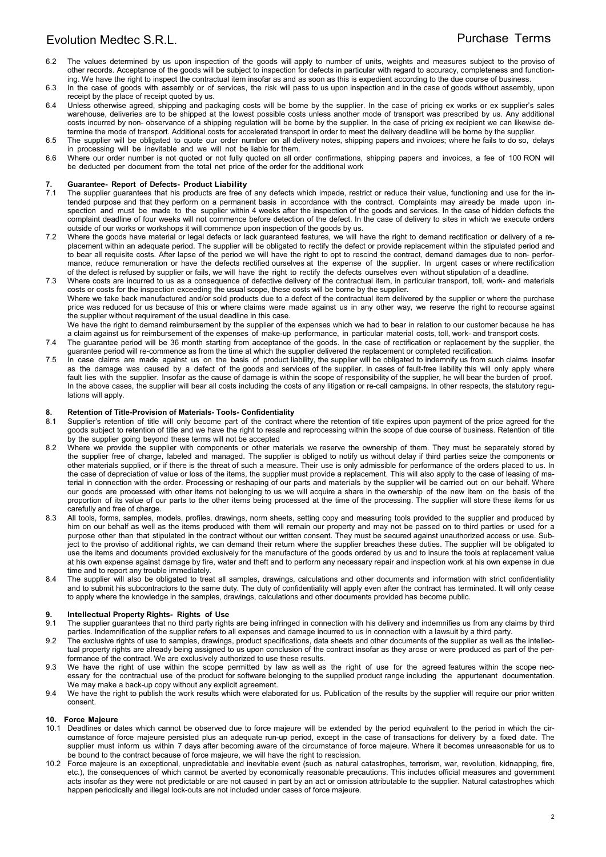- 6.2 The values determined by us upon inspection of the goods will apply to number of units, weights and measures subject to the proviso of other records. Acceptance of the goods will be subject to inspection for defects in particular with regard to accuracy, completeness and functioning. We have the right to inspect the contractual item insofar as and as soon as this is expedient according to the due course of business.
- 6.3 In the case of goods with assembly or of services, the risk will pass to us upon inspection and in the case of goods without assembly, upon receipt by the place of receipt quoted by us.
- 6.4 Unless otherwise agreed, shipping and packaging costs will be borne by the supplier. In the case of pricing ex works or ex supplier's sales warehouse, deliveries are to be shipped at the lowest possible costs unless another mode of transport was prescribed by us. Any additional costs incurred by non- observance of a shipping regulation will be borne by the supplier. In the case of pricing ex recipient we can likewise determine the mode of transport. Additional costs for accelerated transport in order to meet the delivery deadline will be borne by the supplier.
- 6.5 The supplier will be obligated to quote our order number on all delivery notes, shipping papers and invoices; where he fails to do so, delays in processing will be inevitable and we will not be liable for them.
- 6.6 Where our order number is not quoted or not fully quoted on all order confirmations, shipping papers and invoices, a fee of 100 RON will be deducted per document from the total net price of the order for the additional work

### **7. Guarantee- Report of Defects- Product Liability**

- 7.1 The supplier guarantees that his products are free of any defects which impede, restrict or reduce their value, functioning and use for the intended purpose and that they perform on a permanent basis in accordance with the contract. Complaints may already be made upon inspection and must be made to the supplier within 4 weeks after the inspection of the goods and services. In the case of hidden defects the complaint deadline of four weeks will not commence before detection of the defect. In the case of delivery to sites in which we execute orders outside of our works or workshops it will commence upon inspection of the goods by us.
- 7.2 Where the goods have material or legal defects or lack guaranteed features, we will have the right to demand rectification or delivery of a replacement within an adequate period. The supplier will be obligated to rectify the defect or provide replacement within the stipulated period and to bear all requisite costs. After lapse of the period we will have the right to opt to rescind the contract, demand damages due to non- performance, reduce remuneration or have the defects rectified ourselves at the expense of the supplier. In urgent cases or where rectification of the defect is refused by supplier or fails, we will have the right to rectify the defects ourselves even without stipulation of a deadline.
- 7.3 Where costs are incurred to us as a consequence of defective delivery of the contractual item, in particular transport, toll, work- and materials costs or costs for the inspection exceeding the usual scope, these costs will be borne by the supplier. Where we take back manufactured and/or sold products due to a defect of the contractual item delivered by the supplier or where the purchase price was reduced for us because of this or where claims were made against us in any other way, we reserve the right to recourse against the supplier without requirement of the usual deadline in this case.

We have the right to demand reimbursement by the supplier of the expenses which we had to bear in relation to our customer because he has a claim against us for reimbursement of the expenses of make-up performance, in particular material costs, toll, work- and transport costs.

- 7.4 The guarantee period will be 36 month starting from acceptance of the goods. In the case of rectification or replacement by the supplier, the guarantee period will re-commence as from the time at which the supplier delivered the replacement or completed rectification.
- 7.5 In case claims are made against us on the basis of product liability, the supplier will be obligated to indemnify us from such claims insofar as the damage was caused by a defect of the goods and services of the supplier. In cases of fault-free liability this will only apply where fault lies with the supplier. Insofar as the cause of damage is within the scope of responsibility of the supplier, he will bear the burden of proof. In the above cases, the supplier will bear all costs including the costs of any litigation or re-call campaigns. In other respects, the statutory regulations will apply.

### **8. Retention of Title-Provision of Materials- Tools- Confidentiality**

- 8.1 Supplier's retention of title will only become part of the contract where the retention of title expires upon payment of the price agreed for the goods subject to retention of title and we have the right to resale and reprocessing within the scope of due course of business. Retention of title by the supplier going beyond these terms will not be accepted
- 8.2 Where we provide the supplier with components or other materials we reserve the ownership of them. They must be separately stored by the supplier free of charge, labeled and managed. The supplier is obliged to notify us without delay if third parties seize the components or other materials supplied, or if there is the threat of such a measure. Their use is only admissible for performance of the orders placed to us. In the case of depreciation of value or loss of the items, the supplier must provide a replacement. This will also apply to the case of leasing of material in connection with the order. Processing or reshaping of our parts and materials by the supplier will be carried out on our behalf. Where our goods are processed with other items not belonging to us we will acquire a share in the ownership of the new item on the basis of the proportion of its value of our parts to the other items being processed at the time of the processing. The supplier will store these items for us carefully and free of charge.
- 8.3 All tools, forms, samples, models, profiles, drawings, norm sheets, setting copy and measuring tools provided to the supplier and produced by him on our behalf as well as the items produced with them will remain our property and may not be passed on to third parties or used for a purpose other than that stipulated in the contract without our written consent. They must be secured against unauthorized access or use. Subject to the proviso of additional rights, we can demand their return where the supplier breaches these duties. The supplier will be obligated to use the items and documents provided exclusively for the manufacture of the goods ordered by us and to insure the tools at replacement value at his own expense against damage by fire, water and theft and to perform any necessary repair and inspection work at his own expense in due time and to report any trouble immediately.
- 8.4 The supplier will also be obligated to treat all samples, drawings, calculations and other documents and information with strict confidentiality and to submit his subcontractors to the same duty. The duty of confidentiality will apply even after the contract has terminated. It will only cease to apply where the knowledge in the samples, drawings, calculations and other documents provided has become public.

## **9. Intellectual Property Rights- Rights of Use**

- The supplier guarantees that no third party rights are being infringed in connection with his delivery and indemnifies us from any claims by third parties. Indemnification of the supplier refers to all expenses and damage incurred to us in connection with a lawsuit by a third party.
- 9.2 The exclusive rights of use to samples, drawings, product specifications, data sheets and other documents of the supplier as well as the intellectual property rights are already being assigned to us upon conclusion of the contract insofar as they arose or were produced as part of the performance of the contract. We are exclusively authorized to use these results.
- 9.3 We have the right of use within the scope permitted by law as well as the right of use for the agreed features within the scope necessary for the contractual use of the product for software belonging to the supplied product range including the appurtenant documentation. We may make a back-up copy without any explicit agreement.
- 9.4 We have the right to publish the work results which were elaborated for us. Publication of the results by the supplier will require our prior written consent.

### **10. Force Majeure**

- 10.1 Deadlines or dates which cannot be observed due to force majeure will be extended by the period equivalent to the period in which the circumstance of force majeure persisted plus an adequate run-up period, except in the case of transactions for delivery by a fixed date. The supplier must inform us within 7 days after becoming aware of the circumstance of force majeure. Where it becomes unreasonable for us to be bound to the contract because of force majeure, we will have the right to rescission.
- 10.2 Force majeure is an exceptional, unpredictable and inevitable event (such as natural catastrophes, terrorism, war, revolution, kidnapping, fire, etc.), the consequences of which cannot be averted by economically reasonable precautions. This includes official measures and government acts insofar as they were not predictable or are not caused in part by an act or omission attributable to the supplier. Natural catastrophes which happen periodically and illegal lock-outs are not included under cases of force majeure.